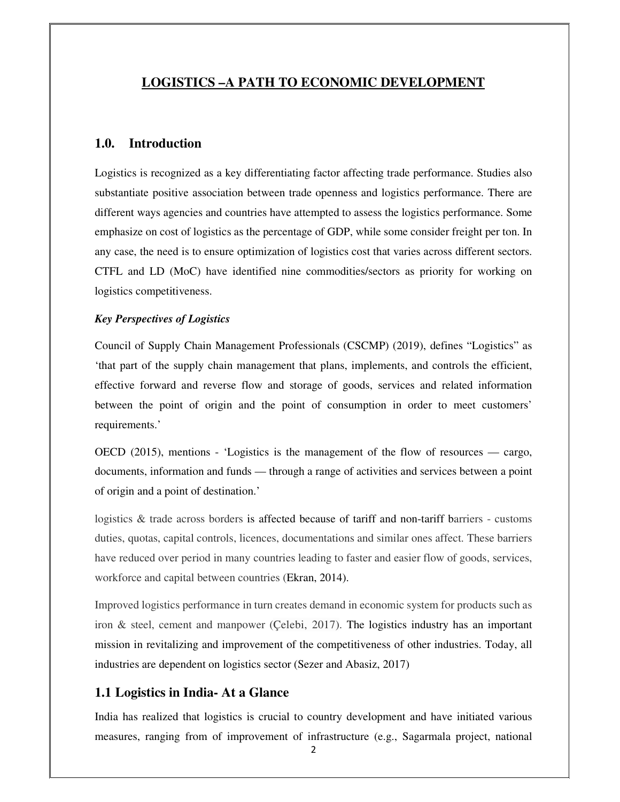### **LOGISTICS –A PATH TO ECONOMIC DEVELOPMENT**

### **1.0. Introduction**

Logistics is recognized as a key differentiating factor affecting trade performance. Studies also substantiate positive association between trade openness and logistics performance. There are different ways agencies and countries have attempted to assess the logistics performance. Some emphasize on cost of logistics as the percentage of GDP, while some consider freight per ton. In any case, the need is to ensure optimization of logistics cost that varies across different sectors. CTFL and LD (MoC) have identified nine commodities/sectors as priority for working on logistics competitiveness.

### *Key Perspectives of Logistics*

Council of Supply Chain Management Professionals (CSCMP) (2019), defines "Logistics" as 'that part of the supply chain management that plans, implements, and controls the efficient, effective forward and reverse flow and storage of goods, services and related information between the point of origin and the point of consumption in order to meet customers' requirements.'

OECD (2015), mentions - 'Logistics is the management of the flow of resources — cargo, documents, information and funds — through a range of activities and services between a point of origin and a point of destination.'

logistics & trade across borders is affected because of tariff and non-tariff barriers - customs duties, quotas, capital controls, licences, documentations and similar ones affect. These barriers have reduced over period in many countries leading to faster and easier flow of goods, services, workforce and capital between countries (Ekran, 2014).

Improved logistics performance in turn creates demand in economic system for products such as iron & steel, cement and manpower (Çelebi, 2017). The logistics industry has an important mission in revitalizing and improvement of the competitiveness of other industries. Today, all industries are dependent on logistics sector (Sezer and Abasiz, 2017)

### **1.1 Logistics in India- At a Glance**

India has realized that logistics is crucial to country development and have initiated various measures, ranging from of improvement of infrastructure (e.g., Sagarmala project, national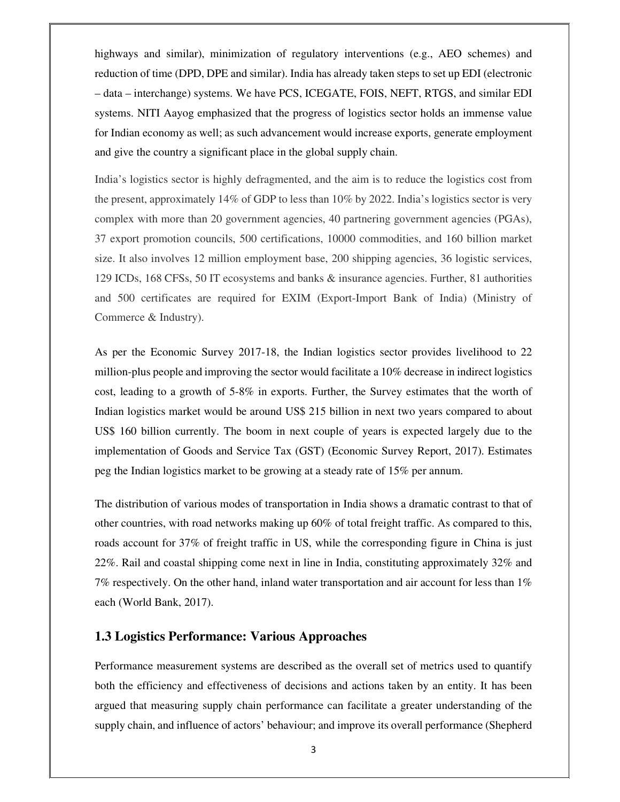highways and similar), minimization of regulatory interventions (e.g., AEO schemes) and reduction of time (DPD, DPE and similar). India has already taken steps to set up EDI (electronic – data – interchange) systems. We have PCS, ICEGATE, FOIS, NEFT, RTGS, and similar EDI systems. NITI Aayog emphasized that the progress of logistics sector holds an immense value for Indian economy as well; as such advancement would increase exports, generate employment and give the country a significant place in the global supply chain.

India's logistics sector is highly defragmented, and the aim is to reduce the logistics cost from the present, approximately 14% of GDP to less than 10% by 2022. India's logistics sector is very complex with more than 20 government agencies, 40 partnering government agencies (PGAs), 37 export promotion councils, 500 certifications, 10000 commodities, and 160 billion market size. It also involves 12 million employment base, 200 shipping agencies, 36 logistic services, 129 ICDs, 168 CFSs, 50 IT ecosystems and banks & insurance agencies. Further, 81 authorities and 500 certificates are required for EXIM (Export-Import Bank of India) (Ministry of Commerce & Industry).

As per the Economic Survey 2017-18, the Indian logistics sector provides livelihood to 22 million-plus people and improving the sector would facilitate a 10% decrease in indirect logistics cost, leading to a growth of 5-8% in exports. Further, the Survey estimates that the worth of Indian logistics market would be around US\$ 215 billion in next two years compared to about US\$ 160 billion currently. The boom in next couple of years is expected largely due to the implementation of Goods and Service Tax (GST) (Economic Survey Report, 2017). Estimates peg the Indian logistics market to be growing at a steady rate of 15% per annum.

The distribution of various modes of transportation in India shows a dramatic contrast to that of other countries, with road networks making up 60% of total freight traffic. As compared to this, roads account for 37% of freight traffic in US, while the corresponding figure in China is just 22%. Rail and coastal shipping come next in line in India, constituting approximately 32% and 7% respectively. On the other hand, inland water transportation and air account for less than  $1\%$ each (World Bank, 2017).

### **1.3 Logistics Performance: Various Approaches**

Performance measurement systems are described as the overall set of metrics used to quantify both the efficiency and effectiveness of decisions and actions taken by an entity. It has been argued that measuring supply chain performance can facilitate a greater understanding of the supply chain, and influence of actors' behaviour; and improve its overall performance (Shepherd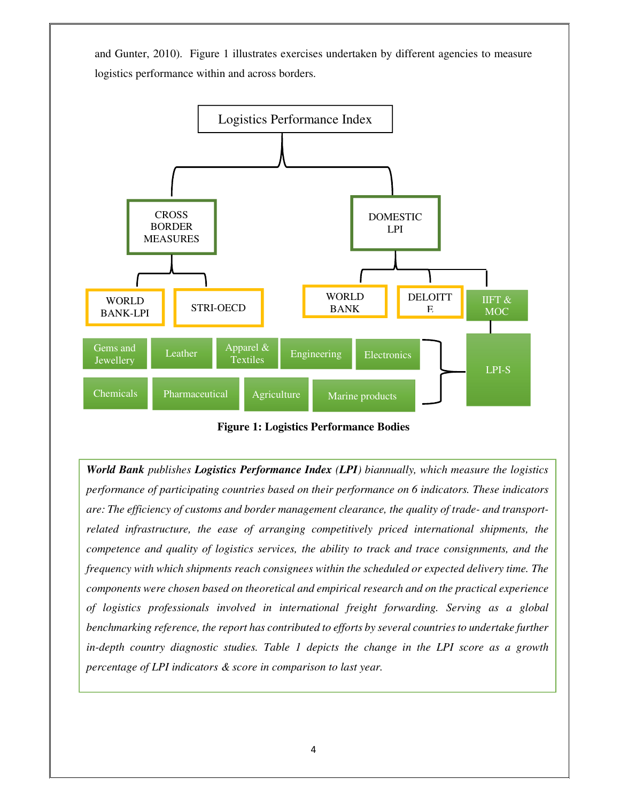and Gunter, 2010). Figure 1 illustrates exercises undertaken by different agencies to measure logistics performance within and across borders.



**Figure 1: Logistics Performance Bodies** 

*World Bank publishes Logistics Performance Index (LPI) biannually, which measure the logistics performance of participating countries based on their performance on 6 indicators. These indicators are: The efficiency of customs and border management clearance, the quality of trade- and transportrelated infrastructure, the ease of arranging competitively priced international shipments, the competence and quality of logistics services, the ability to track and trace consignments, and the frequency with which shipments reach consignees within the scheduled or expected delivery time. The components were chosen based on theoretical and empirical research and on the practical experience of logistics professionals involved in international freight forwarding. Serving as a global benchmarking reference, the report has contributed to efforts by several countries to undertake further in-depth country diagnostic studies. Table 1 depicts the change in the LPI score as a growth percentage of LPI indicators & score in comparison to last year.*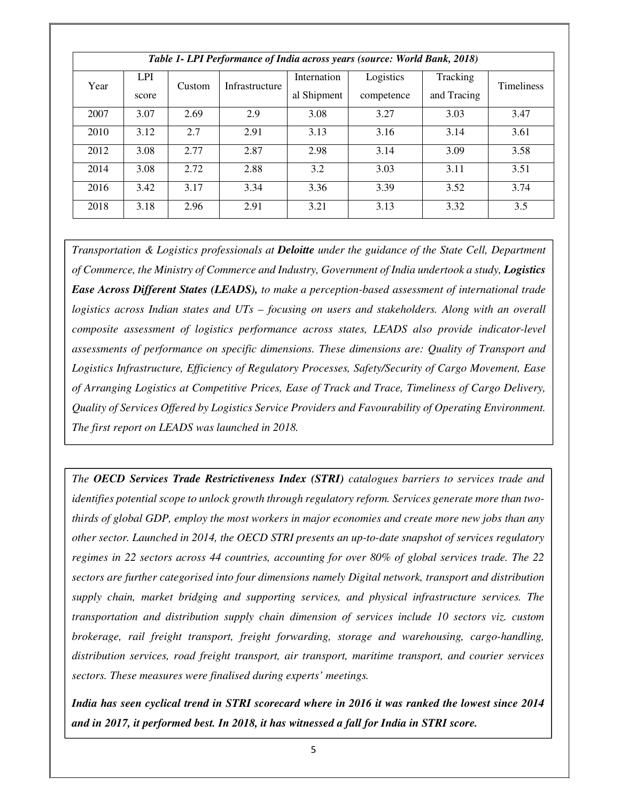| Table 1- LPI Performance of India across years (source: World Bank, 2018) |            |        |                |             |            |             |                   |
|---------------------------------------------------------------------------|------------|--------|----------------|-------------|------------|-------------|-------------------|
| Year                                                                      | <b>LPI</b> | Custom | Infrastructure | Internation | Logistics  | Tracking    | <b>Timeliness</b> |
|                                                                           | score      |        |                | al Shipment | competence | and Tracing |                   |
| 2007                                                                      | 3.07       | 2.69   | 2.9            | 3.08        | 3.27       | 3.03        | 3.47              |
| 2010                                                                      | 3.12       | 2.7    | 2.91           | 3.13        | 3.16       | 3.14        | 3.61              |
| 2012                                                                      | 3.08       | 2.77   | 2.87           | 2.98        | 3.14       | 3.09        | 3.58              |
| 2014                                                                      | 3.08       | 2.72   | 2.88           | 3.2         | 3.03       | 3.11        | 3.51              |
| 2016                                                                      | 3.42       | 3.17   | 3.34           | 3.36        | 3.39       | 3.52        | 3.74              |
| 2018                                                                      | 3.18       | 2.96   | 2.91           | 3.21        | 3.13       | 3.32        | 3.5               |

*Transportation & Logistics professionals at Deloitte under the guidance of the State Cell, Department of Commerce, the Ministry of Commerce and Industry, Government of India undertook a study, Logistics Ease Across Different States (LEADS), to make a perception-based assessment of international trade logistics across Indian states and UTs – focusing on users and stakeholders. Along with an overall composite assessment of logistics performance across states, LEADS also provide indicator-level assessments of performance on specific dimensions. These dimensions are: Quality of Transport and Logistics Infrastructure, Efficiency of Regulatory Processes, Safety/Security of Cargo Movement, Ease of Arranging Logistics at Competitive Prices, Ease of Track and Trace, Timeliness of Cargo Delivery, Quality of Services Offered by Logistics Service Providers and Favourability of Operating Environment. The first report on LEADS was launched in 2018.* 

*The OECD Services Trade Restrictiveness Index (STRI) catalogues barriers to services trade and identifies potential scope to unlock growth through regulatory reform. Services generate more than twothirds of global GDP, employ the most workers in major economies and create more new jobs than any other sector. Launched in 2014, the OECD STRI presents an up-to-date snapshot of services regulatory regimes in 22 sectors across 44 countries, accounting for over 80% of global services trade. The 22 sectors are further categorised into four dimensions namely Digital network, transport and distribution supply chain, market bridging and supporting services, and physical infrastructure services. The transportation and distribution supply chain dimension of services include 10 sectors viz. custom brokerage, rail freight transport, freight forwarding, storage and warehousing, cargo-handling, distribution services, road freight transport, air transport, maritime transport, and courier services sectors. These measures were finalised during experts' meetings.* 

*India has seen cyclical trend in STRI scorecard where in 2016 it was ranked the lowest since 2014 and in 2017, it performed best. In 2018, it has witnessed a fall for India in STRI score.*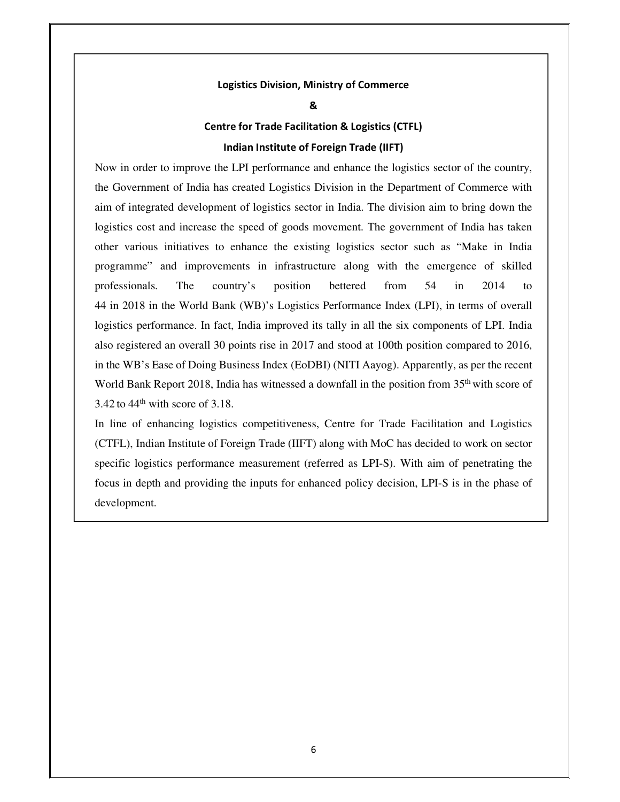#### **Logistics Division, Ministry of Commerce**

**&** 

# **Centre for Trade Facilitation & Logistics (CTFL) Indian Institute of Foreign Trade (IIFT)**

Now in order to improve the LPI performance and enhance the logistics sector of the country, the Government of India has created Logistics Division in the Department of Commerce with aim of integrated development of logistics sector in India. The division aim to bring down the logistics cost and increase the speed of goods movement. The government of India has taken other various initiatives to enhance the existing logistics sector such as "Make in India programme" and improvements in infrastructure along with the emergence of skilled professionals. The country's position bettered from 54 in 2014 to 44 in 2018 in the World Bank (WB)'s Logistics Performance Index (LPI), in terms of overall logistics performance. In fact, India improved its tally in all the six components of LPI. India also registered an overall 30 points rise in 2017 and stood at 100th position compared to 2016, in the WB's Ease of Doing Business Index (EoDBI) (NITI Aayog). Apparently, as per the recent World Bank Report 2018, India has witnessed a downfall in the position from 35<sup>th</sup> with score of  $3.42$  to  $44<sup>th</sup>$  with score of 3.18.

In line of enhancing logistics competitiveness, Centre for Trade Facilitation and Logistics (CTFL), Indian Institute of Foreign Trade (IIFT) along with MoC has decided to work on sector specific logistics performance measurement (referred as LPI-S). With aim of penetrating the focus in depth and providing the inputs for enhanced policy decision, LPI-S is in the phase of development.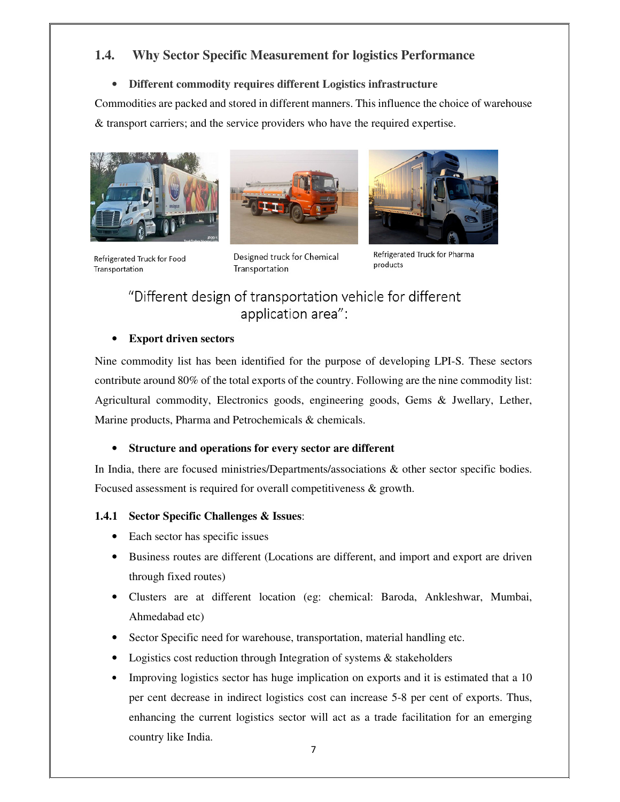# **1.4. Why Sector Specific Measurement for logistics Performance**

### • **Different commodity requires different Logistics infrastructure**

Commodities are packed and stored in different manners. This influence the choice of warehouse & transport carriers; and the service providers who have the required expertise.







Refrigerated Truck for Food Transportation

Designed truck for Chemical Transportation

Refrigerated Truck for Pharma products

# "Different design of transportation vehicle for different application area":

### • **Export driven sectors**

Nine commodity list has been identified for the purpose of developing LPI-S. These sectors contribute around 80% of the total exports of the country. Following are the nine commodity list: Agricultural commodity, Electronics goods, engineering goods, Gems & Jwellary, Lether, Marine products, Pharma and Petrochemicals & chemicals.

### • **Structure and operations for every sector are different**

In India, there are focused ministries/Departments/associations & other sector specific bodies. Focused assessment is required for overall competitiveness & growth.

### **1.4.1 Sector Specific Challenges & Issues**:

- Each sector has specific issues
- Business routes are different (Locations are different, and import and export are driven through fixed routes)
- Clusters are at different location (eg: chemical: Baroda, Ankleshwar, Mumbai, Ahmedabad etc)
- Sector Specific need for warehouse, transportation, material handling etc.
- Logistics cost reduction through Integration of systems  $\&$  stakeholders
- Improving logistics sector has huge implication on exports and it is estimated that a 10 per cent decrease in indirect logistics cost can increase 5-8 per cent of exports. Thus, enhancing the current logistics sector will act as a trade facilitation for an emerging country like India.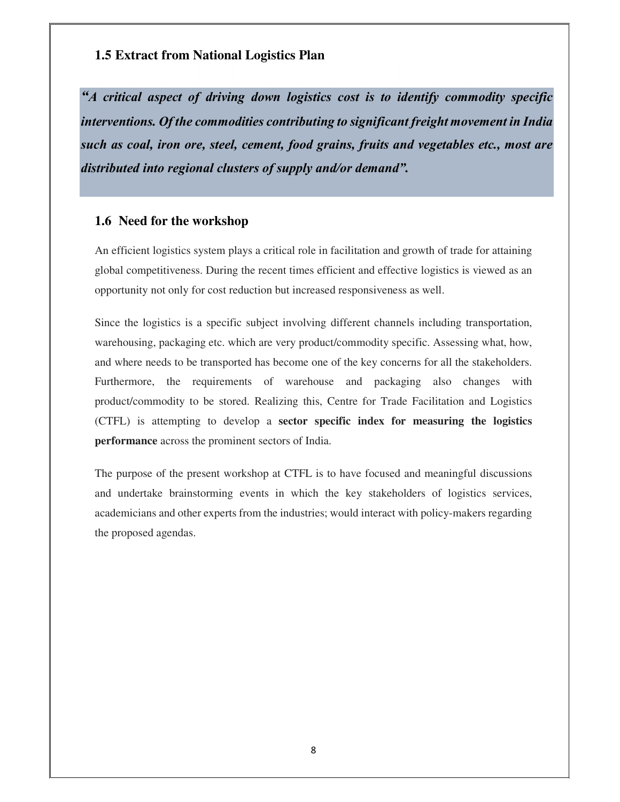## **1.5 Extract from National Logistics Plan**

*"A critical aspect of driving down logistics cost is to identify commodity specific interventions. Of the commodities contributing to significant freight movement in India such as coal, iron ore, steel, cement, food grains, fruits and vegetables etc., most are distributed into regional clusters of supply and/or demand".*

### **1.6 Need for the workshop**

An efficient logistics system plays a critical role in facilitation and growth of trade for attaining global competitiveness. During the recent times efficient and effective logistics is viewed as an opportunity not only for cost reduction but increased responsiveness as well.

Since the logistics is a specific subject involving different channels including transportation, warehousing, packaging etc. which are very product/commodity specific. Assessing what, how, and where needs to be transported has become one of the key concerns for all the stakeholders. Furthermore, the requirements of warehouse and packaging also changes with product/commodity to be stored. Realizing this, Centre for Trade Facilitation and Logistics (CTFL) is attempting to develop a **sector specific index for measuring the logistics performance** across the prominent sectors of India.

The purpose of the present workshop at CTFL is to have focused and meaningful discussions and undertake brainstorming events in which the key stakeholders of logistics services, academicians and other experts from the industries; would interact with policy-makers regarding the proposed agendas.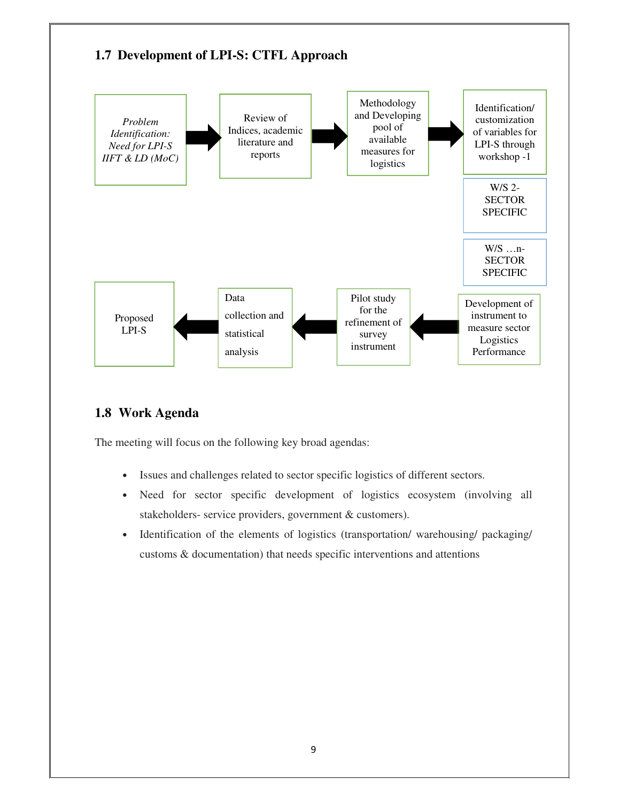

# **1.8 Work Agenda**

The meeting will focus on the following key broad agendas:

- Issues and challenges related to sector specific logistics of different sectors.
- Need for sector specific development of logistics ecosystem (involving all stakeholders- service providers, government & customers).
- Identification of the elements of logistics (transportation/ warehousing/ packaging/ customs & documentation) that needs specific interventions and attentions